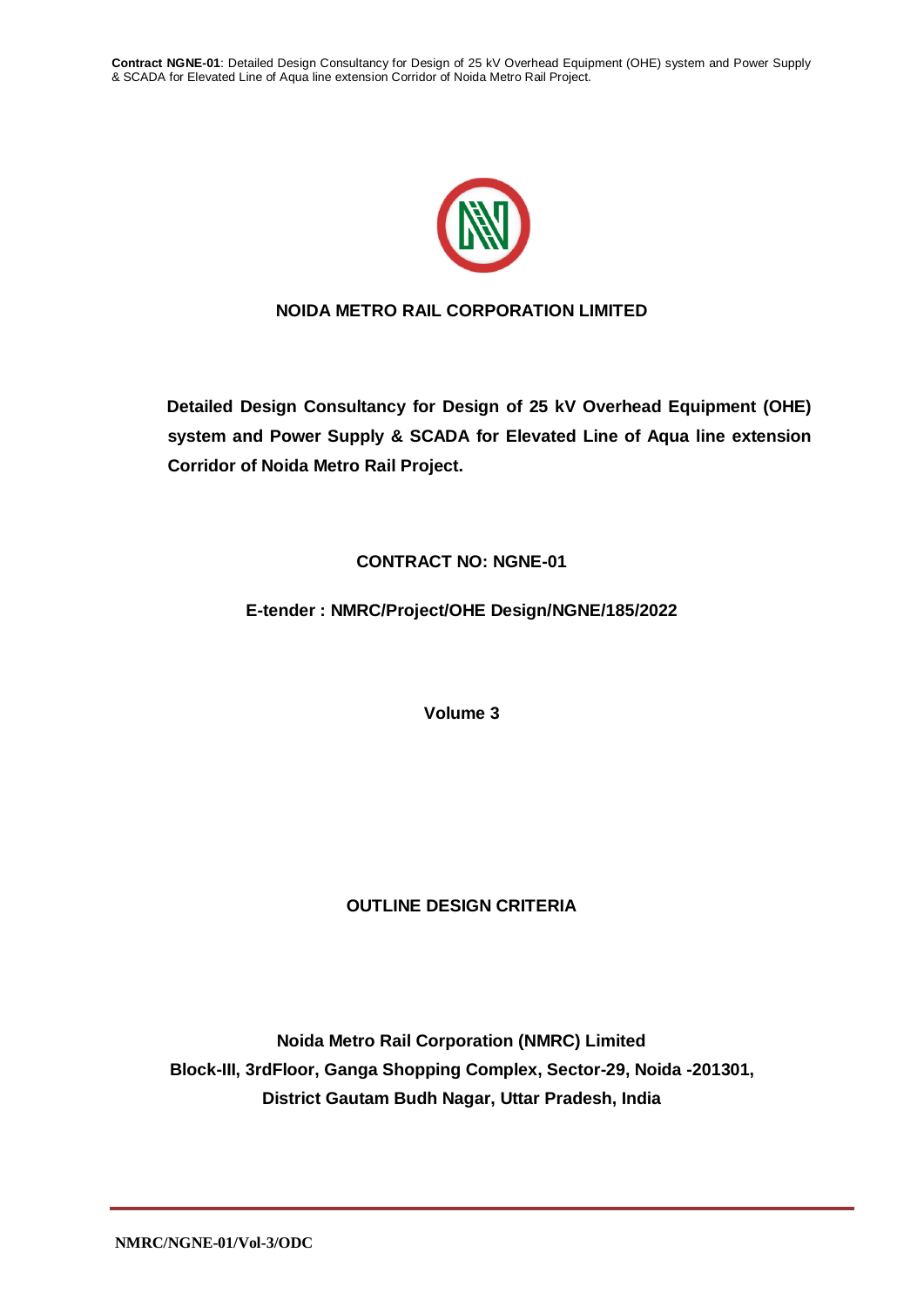

# **NOIDA METRO RAIL CORPORATION LIMITED**

**Detailed Design Consultancy for Design of 25 kV Overhead Equipment (OHE) system and Power Supply & SCADA for Elevated Line of Aqua line extension Corridor of Noida Metro Rail Project.**

# **CONTRACT NO: NGNE-01**

# **E-tender : NMRC/Project/OHE Design/NGNE/185/2022**

**Volume 3**

# **OUTLINE DESIGN CRITERIA**

**Noida Metro Rail Corporation (NMRC) Limited Block-III, 3rdFloor, Ganga Shopping Complex, Sector-29, Noida -201301, District Gautam Budh Nagar, Uttar Pradesh, India**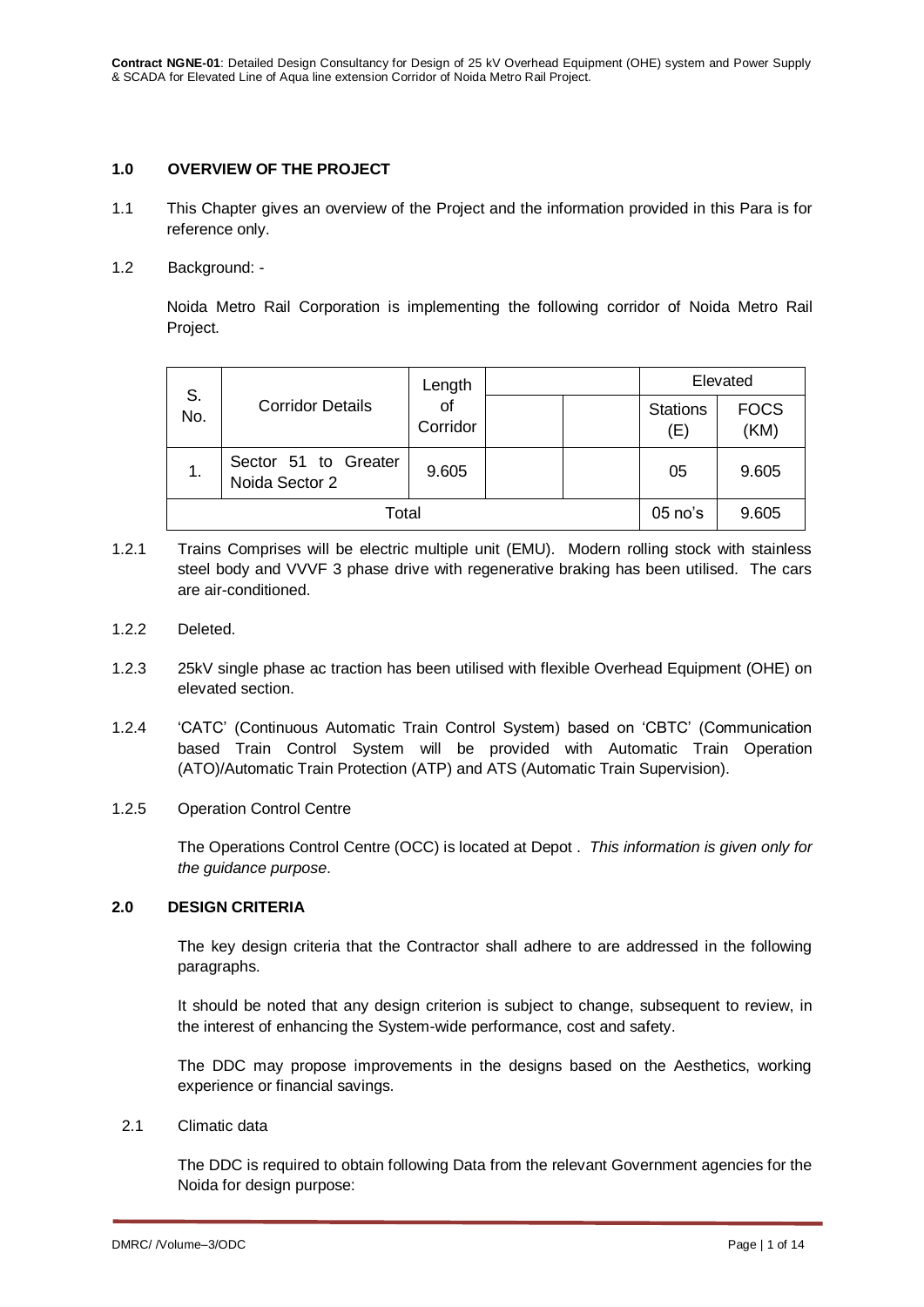### **1.0 OVERVIEW OF THE PROJECT**

- 1.1 This Chapter gives an overview of the Project and the information provided in this Para is for reference only.
- 1.2 Background: -

Noida Metro Rail Corporation is implementing the following corridor of Noida Metro Rail Project.

| S.    |                                        | Length<br>οf<br>Corridor |  | Elevated  |                        |                     |
|-------|----------------------------------------|--------------------------|--|-----------|------------------------|---------------------|
| No.   | <b>Corridor Details</b>                |                          |  |           | <b>Stations</b><br>(E) | <b>FOCS</b><br>(KM) |
| 1.    | Sector 51 to Greater<br>Noida Sector 2 | 9.605                    |  |           | 05                     | 9.605               |
| Total |                                        |                          |  | $05$ no's | 9.605                  |                     |

- 1.2.1 Trains Comprises will be electric multiple unit (EMU). Modern rolling stock with stainless steel body and VVVF 3 phase drive with regenerative braking has been utilised. The cars are air-conditioned.
- 1.2.2 Deleted.
- 1.2.3 25kV single phase ac traction has been utilised with flexible Overhead Equipment (OHE) on elevated section.
- 1.2.4 'CATC' (Continuous Automatic Train Control System) based on 'CBTC' (Communication based Train Control System will be provided with Automatic Train Operation (ATO)/Automatic Train Protection (ATP) and ATS (Automatic Train Supervision).
- 1.2.5 Operation Control Centre

The Operations Control Centre (OCC) is located at Depot . *This information is given only for the guidance purpose*.

# **2.0 DESIGN CRITERIA**

The key design criteria that the Contractor shall adhere to are addressed in the following paragraphs.

It should be noted that any design criterion is subject to change, subsequent to review, in the interest of enhancing the System-wide performance, cost and safety.

The DDC may propose improvements in the designs based on the Aesthetics, working experience or financial savings.

2.1 Climatic data

The DDC is required to obtain following Data from the relevant Government agencies for the Noida for design purpose: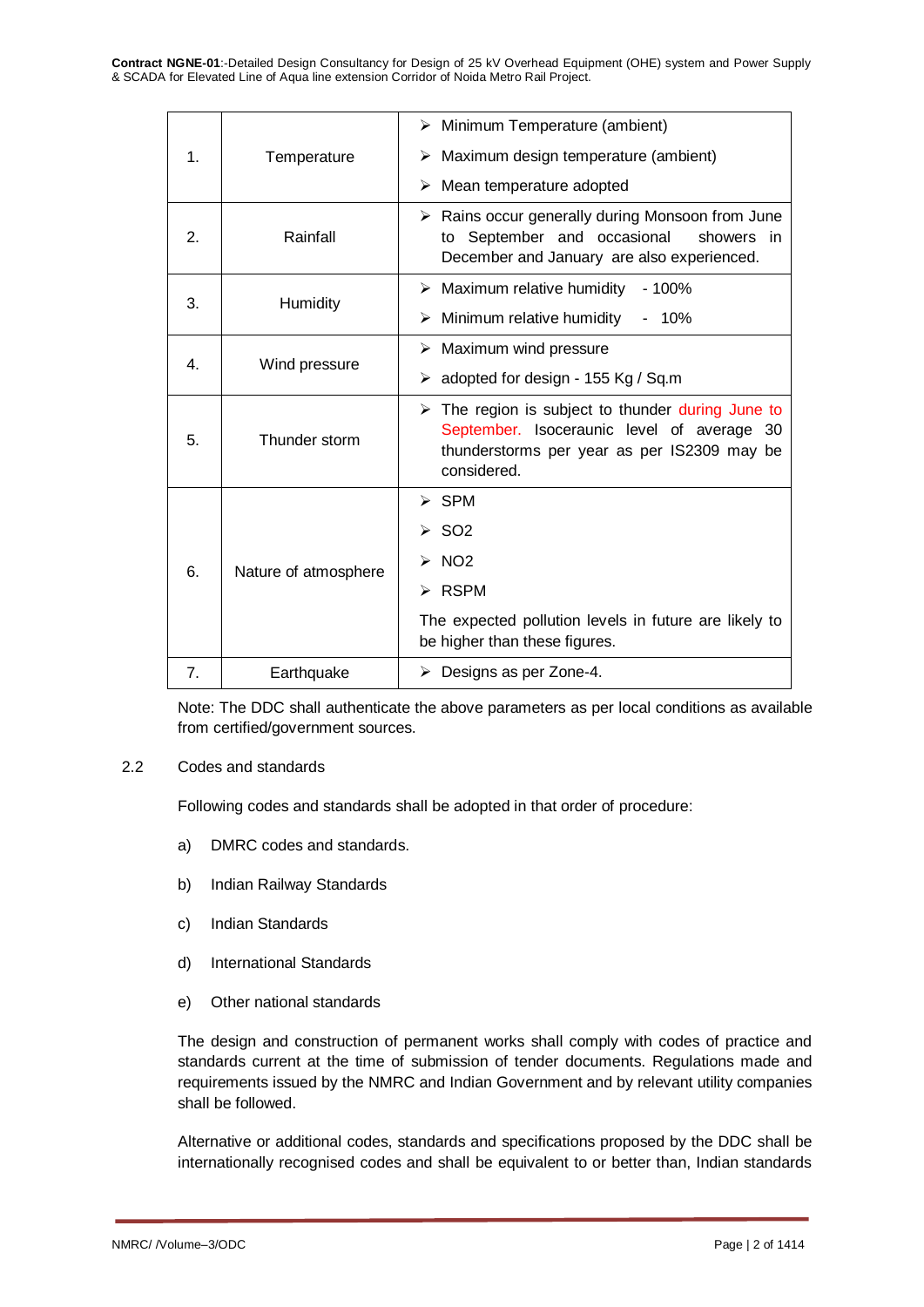**Contract NGNE-01**:-Detailed Design Consultancy for Design of 25 kV Overhead Equipment (OHE) system and Power Supply & SCADA for Elevated Line of Aqua line extension Corridor of Noida Metro Rail Project.

|    |                      | $\triangleright$ Minimum Temperature (ambient)                                                                                                                               |  |  |  |
|----|----------------------|------------------------------------------------------------------------------------------------------------------------------------------------------------------------------|--|--|--|
| 1. | Temperature          | $\triangleright$ Maximum design temperature (ambient)                                                                                                                        |  |  |  |
|    |                      | Mean temperature adopted<br>≻                                                                                                                                                |  |  |  |
| 2. | Rainfall             | $\triangleright$ Rains occur generally during Monsoon from June<br>to September and occasional<br>showers in<br>December and January are also experienced.                   |  |  |  |
| 3. | Humidity             | $\triangleright$ Maximum relative humidity<br>$-100%$                                                                                                                        |  |  |  |
|    |                      | $\triangleright$ Minimum relative humidity<br>$-10\%$                                                                                                                        |  |  |  |
| 4. |                      | $\triangleright$ Maximum wind pressure                                                                                                                                       |  |  |  |
|    | Wind pressure        | > adopted for design - 155 Kg / Sq.m                                                                                                                                         |  |  |  |
| 5. | Thunder storm        | $\triangleright$ The region is subject to thunder during June to<br>September. Isoceraunic level of average 30<br>thunderstorms per year as per IS2309 may be<br>considered. |  |  |  |
|    |                      | $\triangleright$ SPM                                                                                                                                                         |  |  |  |
|    | Nature of atmosphere | $>$ SO2                                                                                                                                                                      |  |  |  |
| 6. |                      | $\triangleright$ NO2                                                                                                                                                         |  |  |  |
|    |                      | $\triangleright$ RSPM                                                                                                                                                        |  |  |  |
|    |                      | The expected pollution levels in future are likely to<br>be higher than these figures.                                                                                       |  |  |  |
| 7. | Earthquake           | $\triangleright$ Designs as per Zone-4.                                                                                                                                      |  |  |  |

Note: The DDC shall authenticate the above parameters as per local conditions as available from certified/government sources.

#### 2.2 Codes and standards

Following codes and standards shall be adopted in that order of procedure:

- a) DMRC codes and standards.
- b) Indian Railway Standards
- c) Indian Standards
- d) International Standards
- e) Other national standards

The design and construction of permanent works shall comply with codes of practice and standards current at the time of submission of tender documents. Regulations made and requirements issued by the NMRC and Indian Government and by relevant utility companies shall be followed.

Alternative or additional codes, standards and specifications proposed by the DDC shall be internationally recognised codes and shall be equivalent to or better than, Indian standards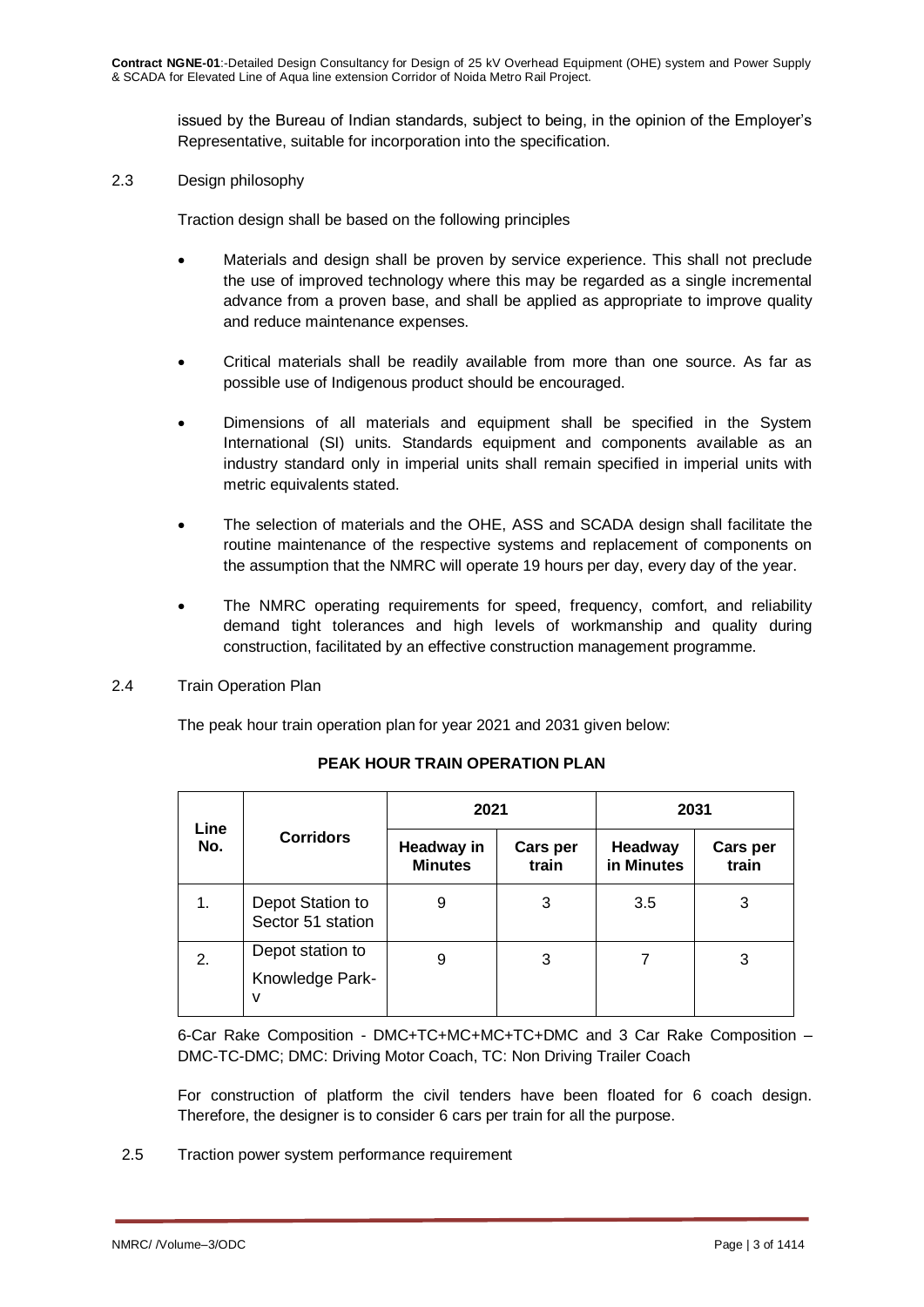issued by the Bureau of Indian standards, subject to being, in the opinion of the Employer's Representative, suitable for incorporation into the specification.

2.3 Design philosophy

Traction design shall be based on the following principles

- Materials and design shall be proven by service experience. This shall not preclude the use of improved technology where this may be regarded as a single incremental advance from a proven base, and shall be applied as appropriate to improve quality and reduce maintenance expenses.
- Critical materials shall be readily available from more than one source. As far as possible use of Indigenous product should be encouraged.
- Dimensions of all materials and equipment shall be specified in the System International (SI) units. Standards equipment and components available as an industry standard only in imperial units shall remain specified in imperial units with metric equivalents stated.
- The selection of materials and the OHE, ASS and SCADA design shall facilitate the routine maintenance of the respective systems and replacement of components on the assumption that the NMRC will operate 19 hours per day, every day of the year.
- The NMRC operating requirements for speed, frequency, comfort, and reliability demand tight tolerances and high levels of workmanship and quality during construction, facilitated by an effective construction management programme.
- 2.4 Train Operation Plan

The peak hour train operation plan for year 2021 and 2031 given below:

| Line | <b>Corridors</b>                         | 2021                         |                   | 2031                  |                          |
|------|------------------------------------------|------------------------------|-------------------|-----------------------|--------------------------|
| No.  |                                          | Headway in<br><b>Minutes</b> | Cars per<br>train | Headway<br>in Minutes | <b>Cars per</b><br>train |
| 1.   | Depot Station to<br>Sector 51 station    | 9                            | 3                 | 3.5                   | 3                        |
| 2.   | Depot station to<br>Knowledge Park-<br>v | 9                            | 3                 |                       | 3                        |

# **PEAK HOUR TRAIN OPERATION PLAN**

6-Car Rake Composition - DMC+TC+MC+MC+TC+DMC and 3 Car Rake Composition – DMC-TC-DMC; DMC: Driving Motor Coach, TC: Non Driving Trailer Coach

For construction of platform the civil tenders have been floated for 6 coach design. Therefore, the designer is to consider 6 cars per train for all the purpose.

2.5 Traction power system performance requirement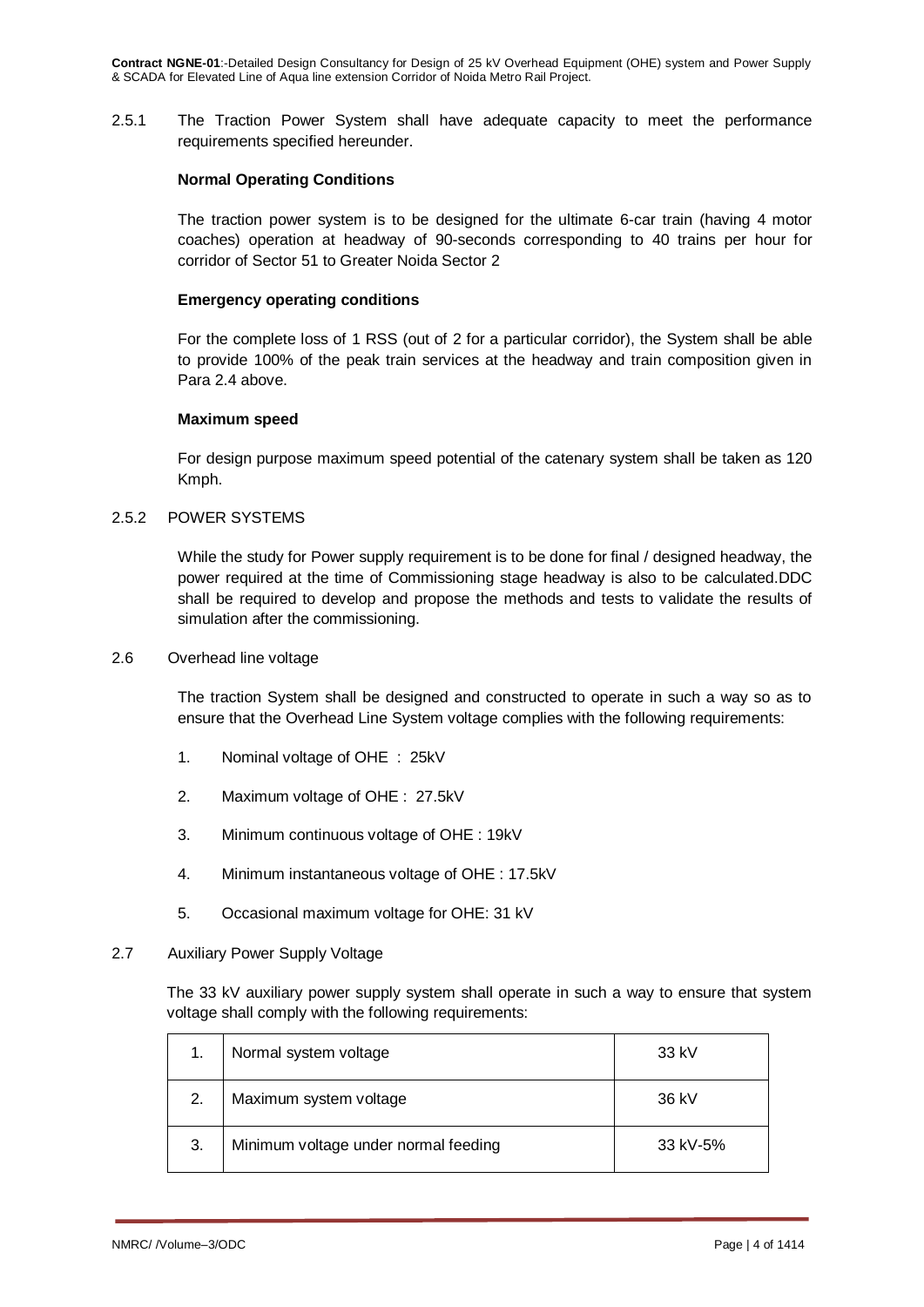2.5.1 The Traction Power System shall have adequate capacity to meet the performance requirements specified hereunder.

### **Normal Operating Conditions**

The traction power system is to be designed for the ultimate 6-car train (having 4 motor coaches) operation at headway of 90-seconds corresponding to 40 trains per hour for corridor of Sector 51 to Greater Noida Sector 2

### **Emergency operating conditions**

For the complete loss of 1 RSS (out of 2 for a particular corridor), the System shall be able to provide 100% of the peak train services at the headway and train composition given in Para 2.4 above.

### **Maximum speed**

For design purpose maximum speed potential of the catenary system shall be taken as 120 Kmph.

# 2.5.2 POWER SYSTEMS

While the study for Power supply requirement is to be done for final / designed headway, the power required at the time of Commissioning stage headway is also to be calculated.DDC shall be required to develop and propose the methods and tests to validate the results of simulation after the commissioning.

#### 2.6 Overhead line voltage

The traction System shall be designed and constructed to operate in such a way so as to ensure that the Overhead Line System voltage complies with the following requirements:

- 1. Nominal voltage of OHE : 25kV
- 2. Maximum voltage of OHE : 27.5kV
- 3. Minimum continuous voltage of OHE : 19kV
- 4. Minimum instantaneous voltage of OHE : 17.5kV
- 5. Occasional maximum voltage for OHE: 31 kV
- 2.7 Auxiliary Power Supply Voltage

The 33 kV auxiliary power supply system shall operate in such a way to ensure that system voltage shall comply with the following requirements:

|    | Normal system voltage                | 33 kV    |
|----|--------------------------------------|----------|
| 2. | Maximum system voltage               | 36 kV    |
| 3. | Minimum voltage under normal feeding | 33 kV-5% |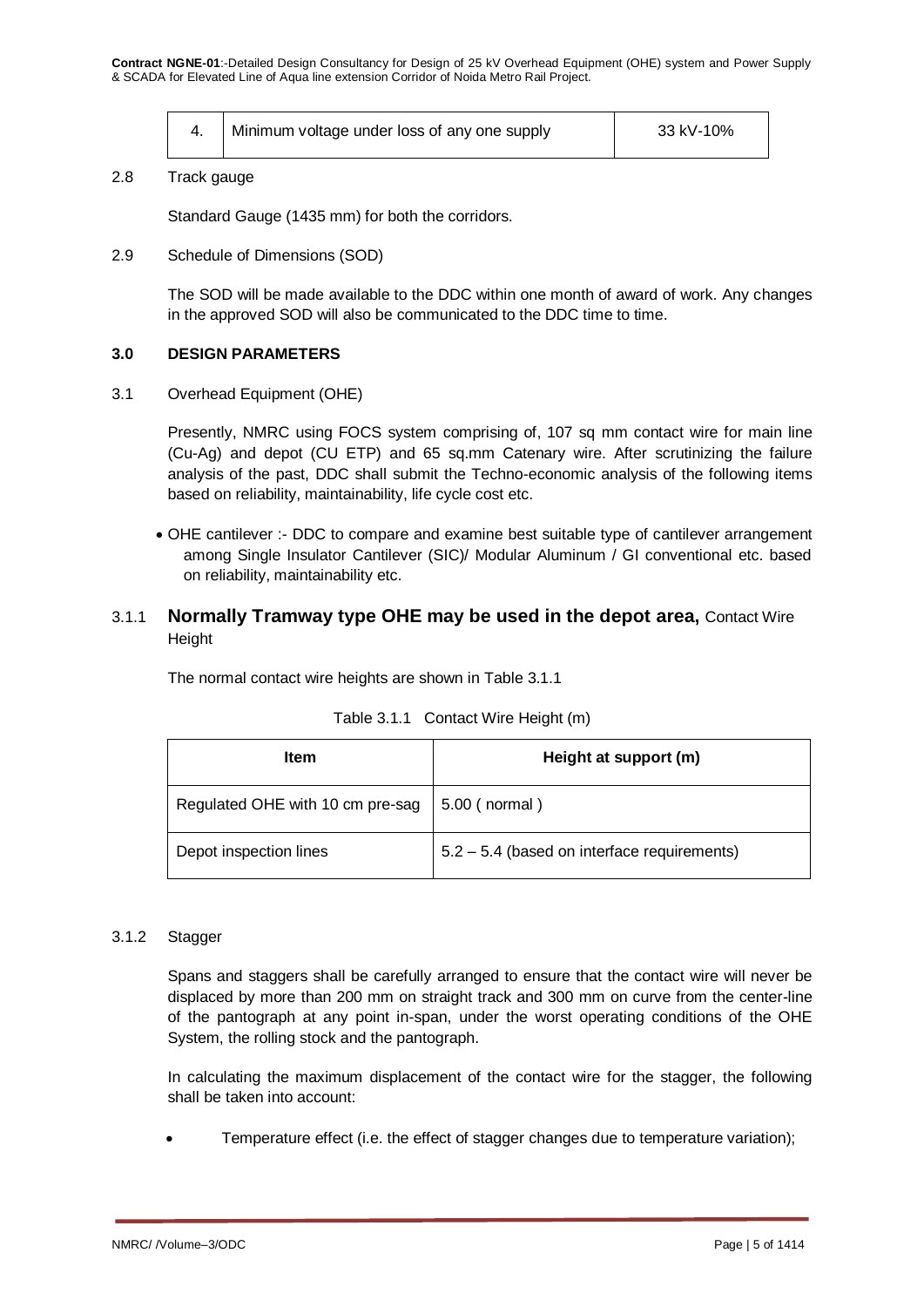| Minimum voltage under loss of any one supply | 33 kV-10% |
|----------------------------------------------|-----------|
|                                              |           |

#### 2.8 Track gauge

Standard Gauge (1435 mm) for both the corridors.

2.9 Schedule of Dimensions (SOD)

The SOD will be made available to the DDC within one month of award of work. Any changes in the approved SOD will also be communicated to the DDC time to time.

### **3.0 DESIGN PARAMETERS**

3.1 Overhead Equipment (OHE)

Presently, NMRC using FOCS system comprising of, 107 sq mm contact wire for main line (Cu-Ag) and depot (CU ETP) and 65 sq.mm Catenary wire. After scrutinizing the failure analysis of the past, DDC shall submit the Techno-economic analysis of the following items based on reliability, maintainability, life cycle cost etc.

 OHE cantilever :- DDC to compare and examine best suitable type of cantilever arrangement among Single Insulator Cantilever (SIC)/ Modular Aluminum / GI conventional etc. based on reliability, maintainability etc.

# 3.1.1 **Normally Tramway type OHE may be used in the depot area,** Contact Wire **Height**

The normal contact wire heights are shown in Table 3.1.1

| Item                             | Height at support (m)                       |  |  |
|----------------------------------|---------------------------------------------|--|--|
| Regulated OHE with 10 cm pre-sag | 5.00 ( normal )                             |  |  |
| Depot inspection lines           | 5.2 - 5.4 (based on interface requirements) |  |  |

|  | Table 3.1.1 Contact Wire Height (m) |  |  |  |
|--|-------------------------------------|--|--|--|
|--|-------------------------------------|--|--|--|

#### 3.1.2 Stagger

Spans and staggers shall be carefully arranged to ensure that the contact wire will never be displaced by more than 200 mm on straight track and 300 mm on curve from the center-line of the pantograph at any point in-span, under the worst operating conditions of the OHE System, the rolling stock and the pantograph.

In calculating the maximum displacement of the contact wire for the stagger, the following shall be taken into account:

Temperature effect (i.e. the effect of stagger changes due to temperature variation);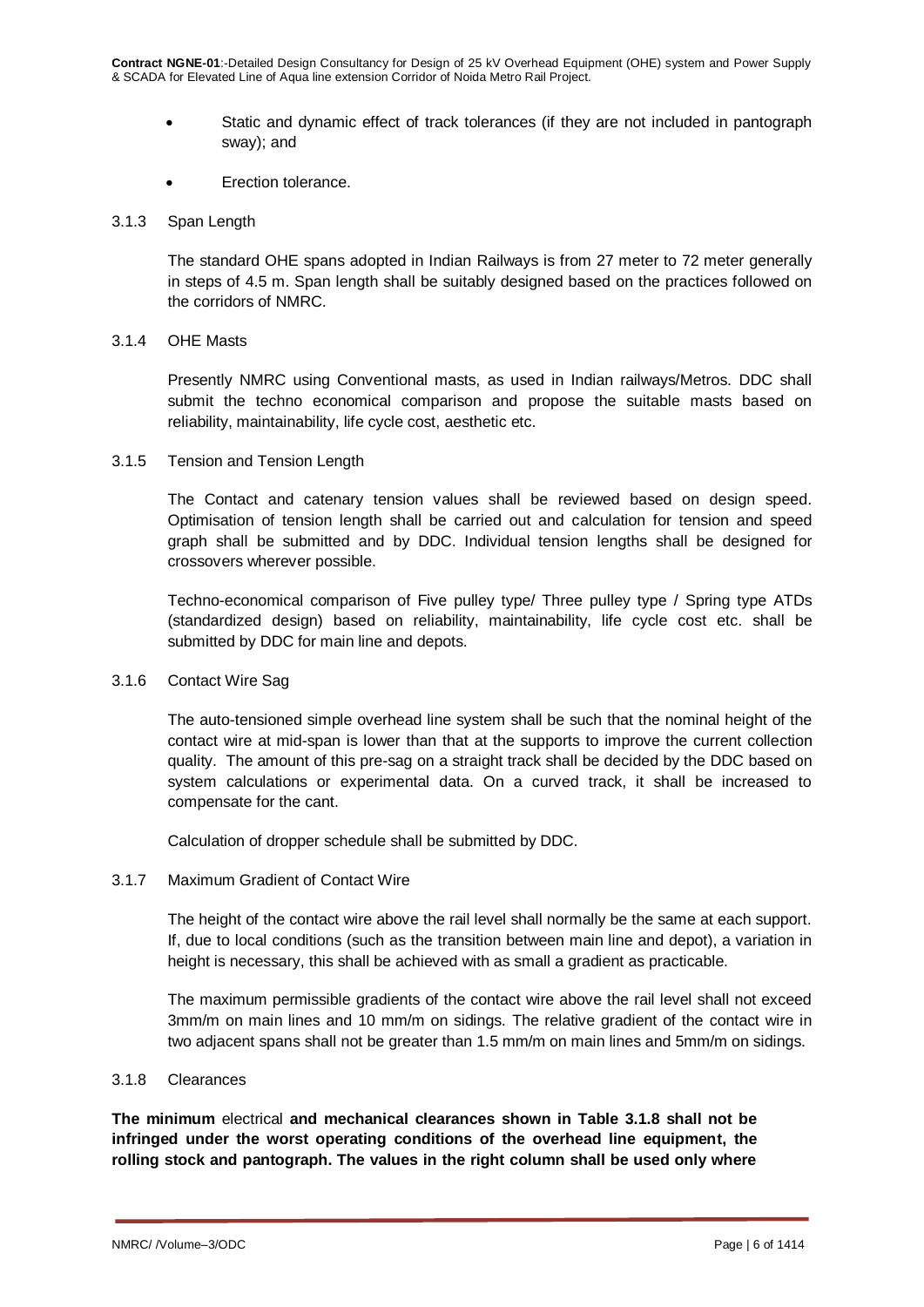- Static and dynamic effect of track tolerances (if they are not included in pantograph sway); and
- Erection tolerance.

### 3.1.3 Span Length

The standard OHE spans adopted in Indian Railways is from 27 meter to 72 meter generally in steps of 4.5 m. Span length shall be suitably designed based on the practices followed on the corridors of NMRC.

### 3.1.4 OHE Masts

Presently NMRC using Conventional masts, as used in Indian railways/Metros. DDC shall submit the techno economical comparison and propose the suitable masts based on reliability, maintainability, life cycle cost, aesthetic etc.

### 3.1.5 Tension and Tension Length

The Contact and catenary tension values shall be reviewed based on design speed. Optimisation of tension length shall be carried out and calculation for tension and speed graph shall be submitted and by DDC. Individual tension lengths shall be designed for crossovers wherever possible.

Techno-economical comparison of Five pulley type/ Three pulley type / Spring type ATDs (standardized design) based on reliability, maintainability, life cycle cost etc. shall be submitted by DDC for main line and depots.

#### 3.1.6 Contact Wire Sag

The auto-tensioned simple overhead line system shall be such that the nominal height of the contact wire at mid-span is lower than that at the supports to improve the current collection quality. The amount of this pre-sag on a straight track shall be decided by the DDC based on system calculations or experimental data. On a curved track, it shall be increased to compensate for the cant.

Calculation of dropper schedule shall be submitted by DDC.

# 3.1.7 Maximum Gradient of Contact Wire

The height of the contact wire above the rail level shall normally be the same at each support. If, due to local conditions (such as the transition between main line and depot), a variation in height is necessary, this shall be achieved with as small a gradient as practicable.

The maximum permissible gradients of the contact wire above the rail level shall not exceed 3mm/m on main lines and 10 mm/m on sidings. The relative gradient of the contact wire in two adjacent spans shall not be greater than 1.5 mm/m on main lines and 5mm/m on sidings.

#### 3.1.8 Clearances

**The minimum** electrical **and mechanical clearances shown in Table 3.1.8 shall not be infringed under the worst operating conditions of the overhead line equipment, the rolling stock and pantograph. The values in the right column shall be used only where**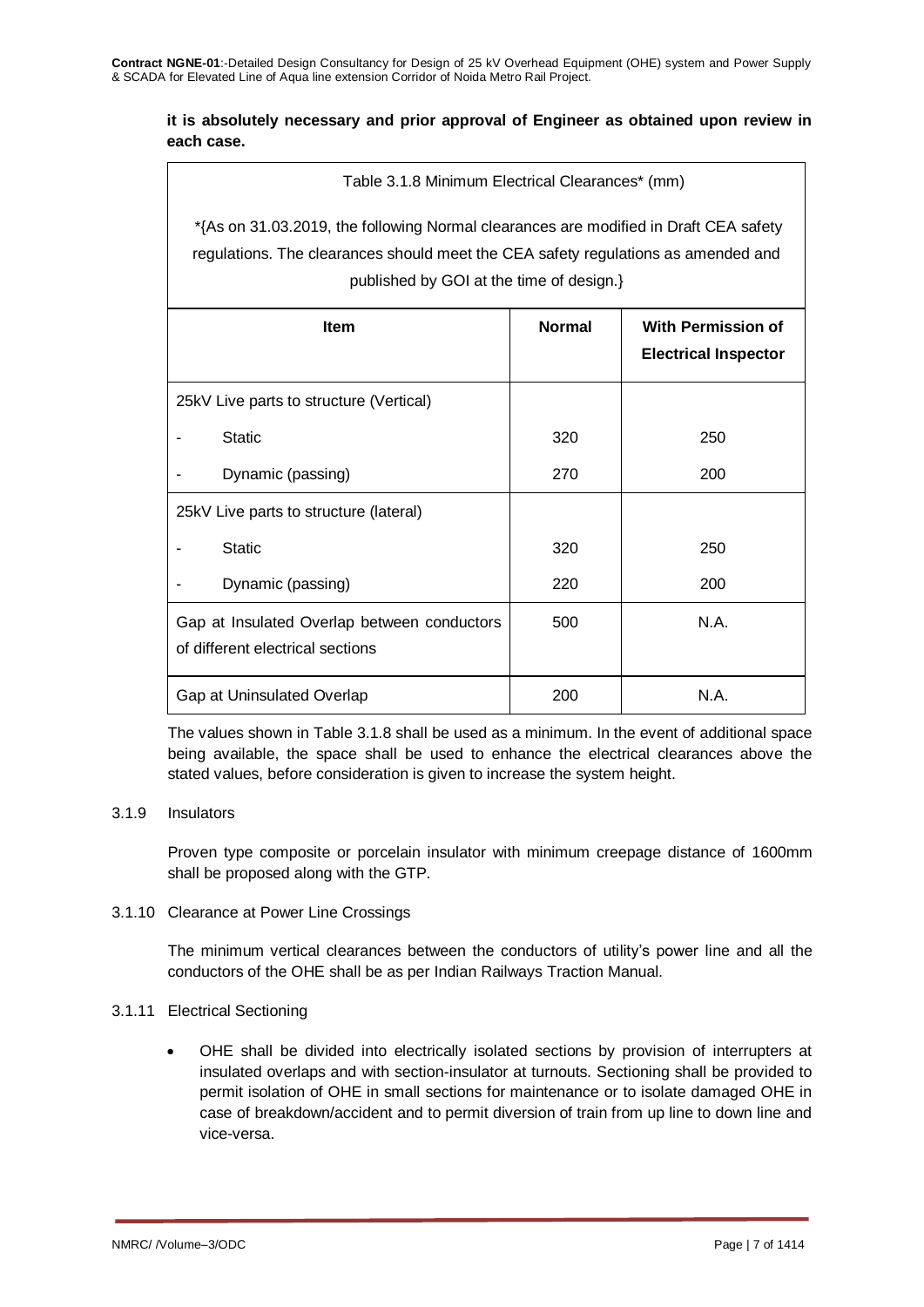# **it is absolutely necessary and prior approval of Engineer as obtained upon review in each case.**

Table 3.1.8 Minimum Electrical Clearances\* (mm)

\*{As on 31.03.2019, the following Normal clearances are modified in Draft CEA safety regulations. The clearances should meet the CEA safety regulations as amended and published by GOI at the time of design.}

| Item                                                                            | <b>Normal</b> | <b>With Permission of</b><br><b>Electrical Inspector</b> |
|---------------------------------------------------------------------------------|---------------|----------------------------------------------------------|
| 25kV Live parts to structure (Vertical)                                         |               |                                                          |
| <b>Static</b>                                                                   | 320           | 250                                                      |
| Dynamic (passing)                                                               | 270           | 200                                                      |
| 25kV Live parts to structure (lateral)                                          |               |                                                          |
| <b>Static</b>                                                                   | 320           | 250                                                      |
| Dynamic (passing)                                                               | 220           | 200                                                      |
| Gap at Insulated Overlap between conductors<br>of different electrical sections | 500           | N.A.                                                     |
| Gap at Uninsulated Overlap                                                      | 200           | N.A.                                                     |

The values shown in Table 3.1.8 shall be used as a minimum. In the event of additional space being available, the space shall be used to enhance the electrical clearances above the stated values, before consideration is given to increase the system height.

# 3.1.9 Insulators

Proven type composite or porcelain insulator with minimum creepage distance of 1600mm shall be proposed along with the GTP.

# 3.1.10 Clearance at Power Line Crossings

The minimum vertical clearances between the conductors of utility's power line and all the conductors of the OHE shall be as per Indian Railways Traction Manual.

# 3.1.11 Electrical Sectioning

 OHE shall be divided into electrically isolated sections by provision of interrupters at insulated overlaps and with section-insulator at turnouts. Sectioning shall be provided to permit isolation of OHE in small sections for maintenance or to isolate damaged OHE in case of breakdown/accident and to permit diversion of train from up line to down line and vice-versa.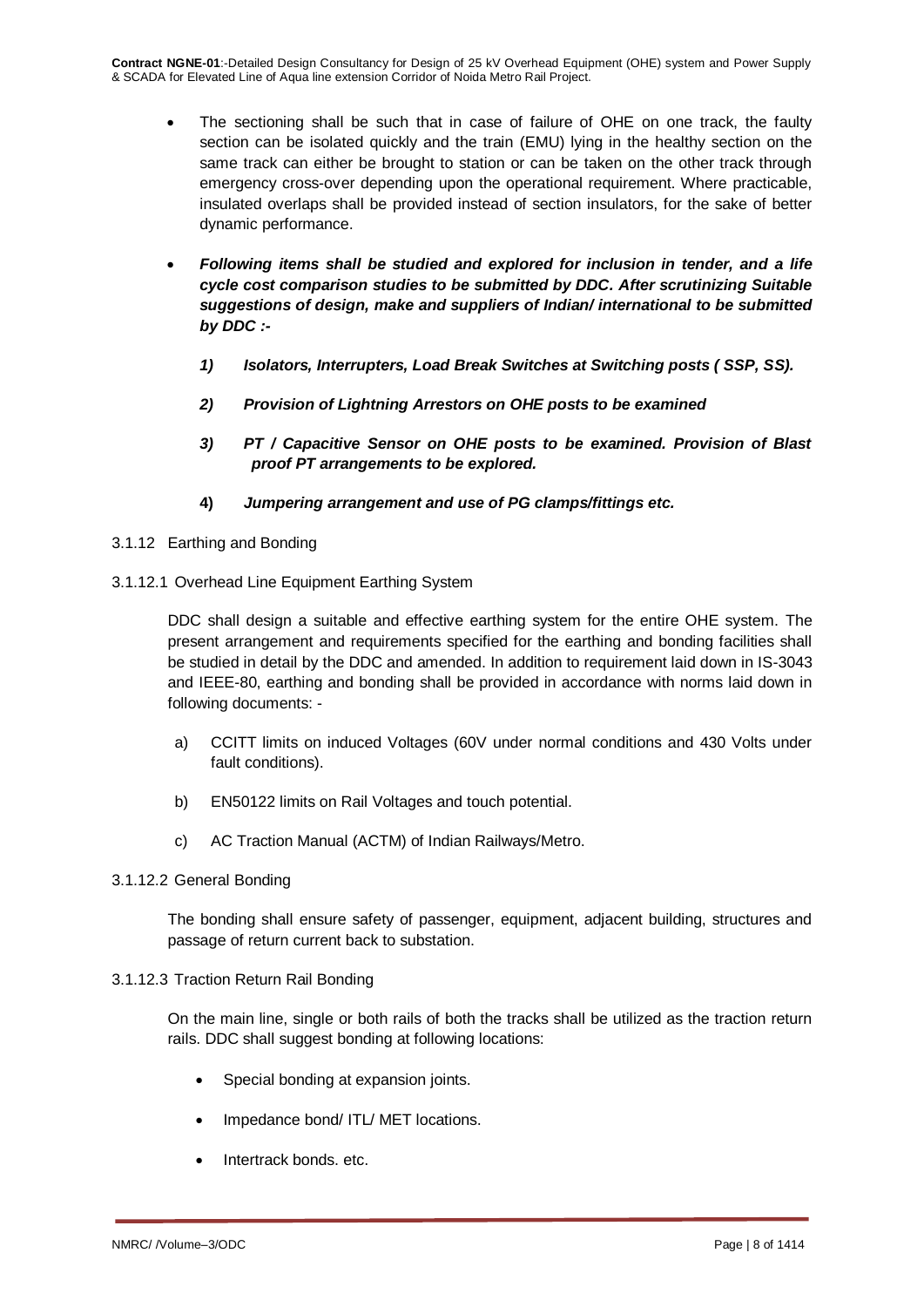- The sectioning shall be such that in case of failure of OHE on one track, the faulty section can be isolated quickly and the train (EMU) lying in the healthy section on the same track can either be brought to station or can be taken on the other track through emergency cross-over depending upon the operational requirement. Where practicable, insulated overlaps shall be provided instead of section insulators, for the sake of better dynamic performance.
- *Following items shall be studied and explored for inclusion in tender, and a life cycle cost comparison studies to be submitted by DDC. After scrutinizing Suitable suggestions of design, make and suppliers of Indian/ international to be submitted by DDC :-*
	- *1) Isolators, Interrupters, Load Break Switches at Switching posts ( SSP, SS).*
	- *2) Provision of Lightning Arrestors on OHE posts to be examined*
	- *3) PT / Capacitive Sensor on OHE posts to be examined. Provision of Blast proof PT arrangements to be explored.*
	- **4)** *Jumpering arrangement and use of PG clamps/fittings etc.*
- 3.1.12 Earthing and Bonding
- 3.1.12.1 Overhead Line Equipment Earthing System

DDC shall design a suitable and effective earthing system for the entire OHE system. The present arrangement and requirements specified for the earthing and bonding facilities shall be studied in detail by the DDC and amended. In addition to requirement laid down in IS-3043 and IEEE-80, earthing and bonding shall be provided in accordance with norms laid down in following documents: -

- a) CCITT limits on induced Voltages (60V under normal conditions and 430 Volts under fault conditions).
- b) EN50122 limits on Rail Voltages and touch potential.
- c) AC Traction Manual (ACTM) of Indian Railways/Metro.

# 3.1.12.2 General Bonding

The bonding shall ensure safety of passenger, equipment, adjacent building, structures and passage of return current back to substation.

# 3.1.12.3 Traction Return Rail Bonding

On the main line, single or both rails of both the tracks shall be utilized as the traction return rails. DDC shall suggest bonding at following locations:

- Special bonding at expansion joints.
- Impedance bond/ ITL/ MET locations.
- Intertrack bonds. etc.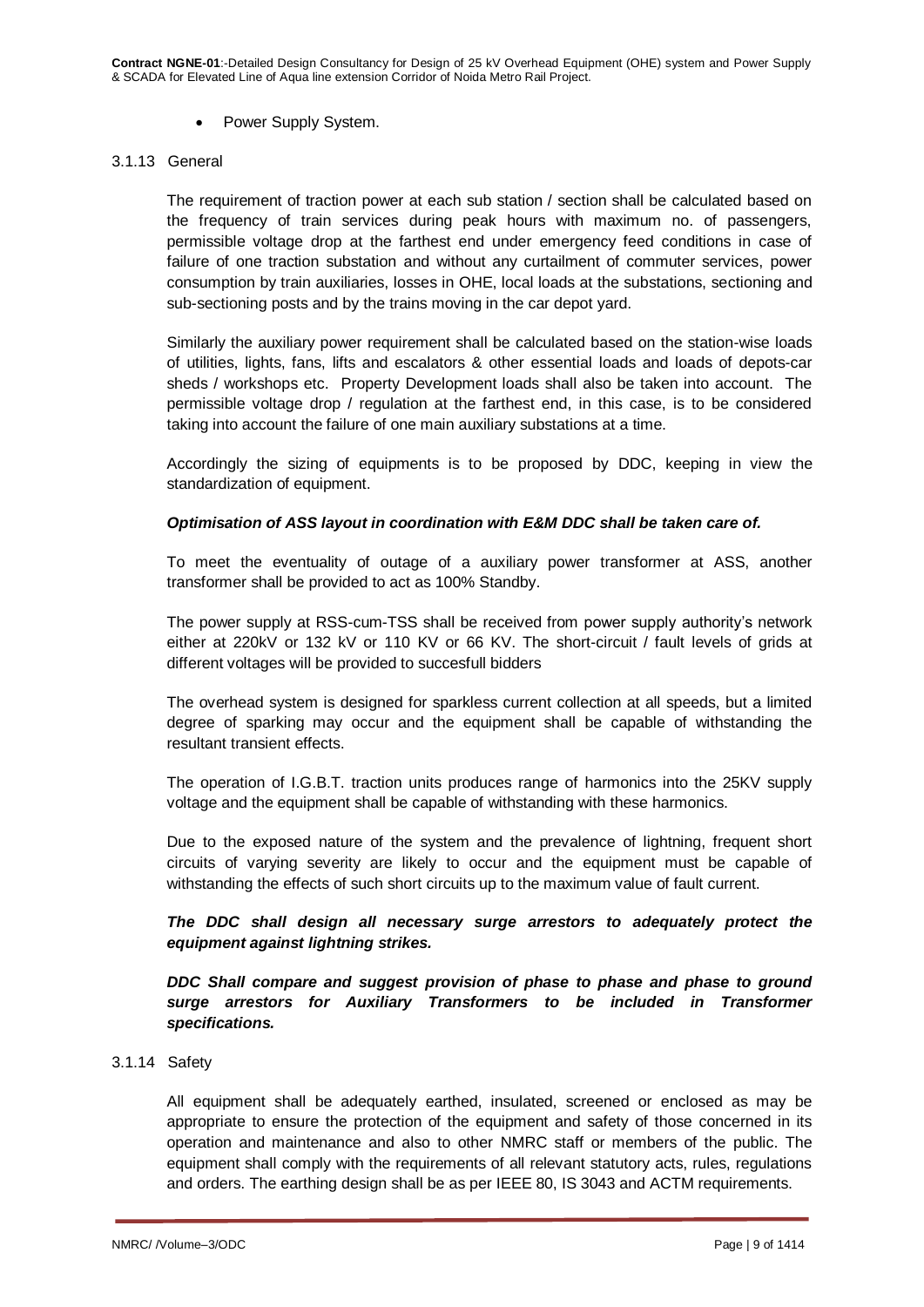• Power Supply System.

### 3.1.13 General

The requirement of traction power at each sub station / section shall be calculated based on the frequency of train services during peak hours with maximum no. of passengers, permissible voltage drop at the farthest end under emergency feed conditions in case of failure of one traction substation and without any curtailment of commuter services, power consumption by train auxiliaries, losses in OHE, local loads at the substations, sectioning and sub-sectioning posts and by the trains moving in the car depot yard.

Similarly the auxiliary power requirement shall be calculated based on the station-wise loads of utilities, lights, fans, lifts and escalators & other essential loads and loads of depots-car sheds / workshops etc. Property Development loads shall also be taken into account. The permissible voltage drop / regulation at the farthest end, in this case, is to be considered taking into account the failure of one main auxiliary substations at a time.

Accordingly the sizing of equipments is to be proposed by DDC, keeping in view the standardization of equipment.

# *Optimisation of ASS layout in coordination with E&M DDC shall be taken care of.*

To meet the eventuality of outage of a auxiliary power transformer at ASS, another transformer shall be provided to act as 100% Standby.

The power supply at RSS-cum-TSS shall be received from power supply authority's network either at 220kV or 132 kV or 110 KV or 66 KV. The short-circuit / fault levels of grids at different voltages will be provided to succesfull bidders

The overhead system is designed for sparkless current collection at all speeds, but a limited degree of sparking may occur and the equipment shall be capable of withstanding the resultant transient effects.

The operation of I.G.B.T. traction units produces range of harmonics into the 25KV supply voltage and the equipment shall be capable of withstanding with these harmonics.

Due to the exposed nature of the system and the prevalence of lightning, frequent short circuits of varying severity are likely to occur and the equipment must be capable of withstanding the effects of such short circuits up to the maximum value of fault current.

# *The DDC shall design all necessary surge arrestors to adequately protect the equipment against lightning strikes.*

*DDC Shall compare and suggest provision of phase to phase and phase to ground surge arrestors for Auxiliary Transformers to be included in Transformer specifications.*

#### 3.1.14 Safety

All equipment shall be adequately earthed, insulated, screened or enclosed as may be appropriate to ensure the protection of the equipment and safety of those concerned in its operation and maintenance and also to other NMRC staff or members of the public. The equipment shall comply with the requirements of all relevant statutory acts, rules, regulations and orders. The earthing design shall be as per IEEE 80, IS 3043 and ACTM requirements.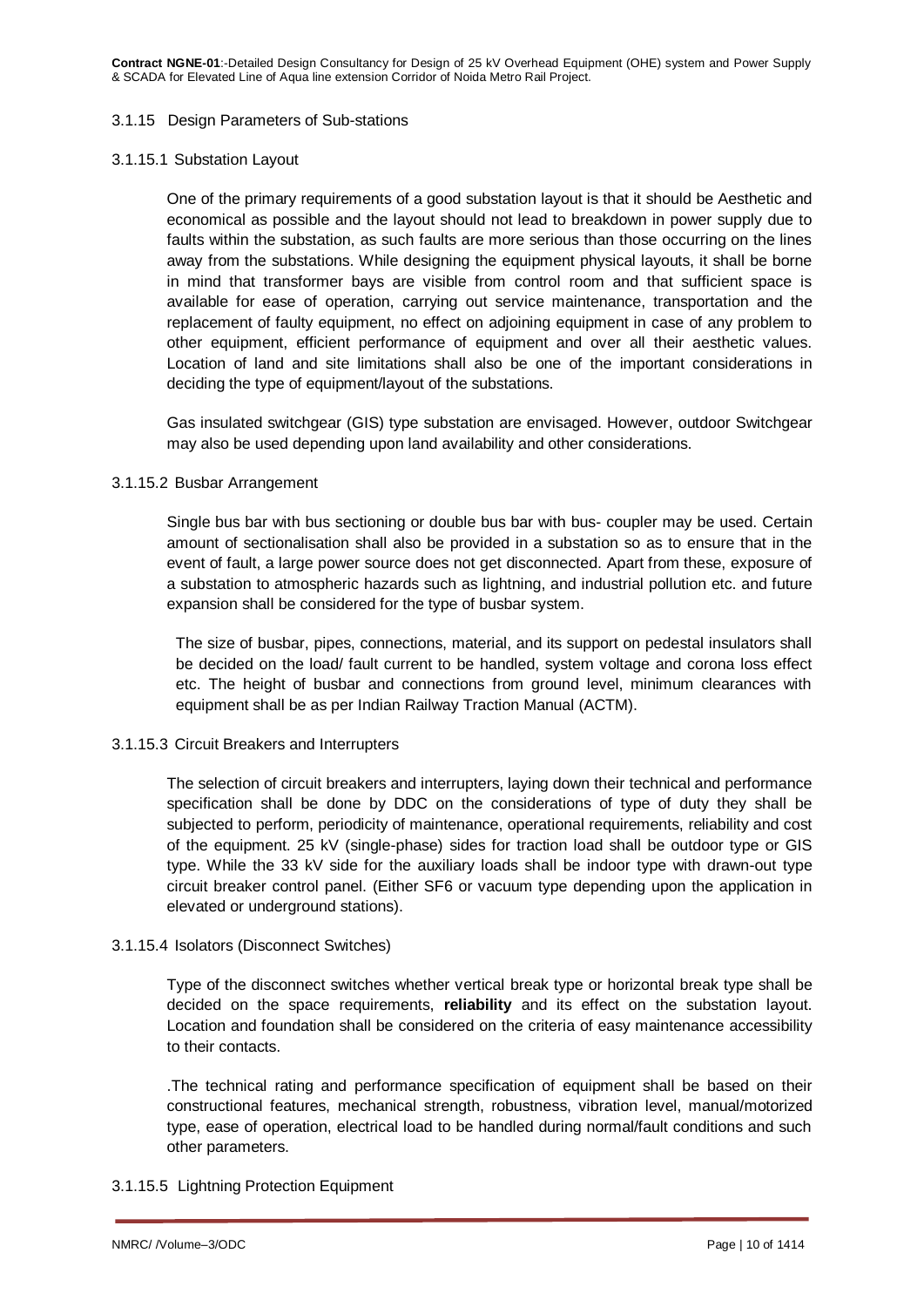**Contract NGNE-01**:-Detailed Design Consultancy for Design of 25 kV Overhead Equipment (OHE) system and Power Supply & SCADA for Elevated Line of Aqua line extension Corridor of Noida Metro Rail Project.

#### 3.1.15 Design Parameters of Sub-stations

#### 3.1.15.1 Substation Layout

One of the primary requirements of a good substation layout is that it should be Aesthetic and economical as possible and the layout should not lead to breakdown in power supply due to faults within the substation, as such faults are more serious than those occurring on the lines away from the substations. While designing the equipment physical layouts, it shall be borne in mind that transformer bays are visible from control room and that sufficient space is available for ease of operation, carrying out service maintenance, transportation and the replacement of faulty equipment, no effect on adjoining equipment in case of any problem to other equipment, efficient performance of equipment and over all their aesthetic values. Location of land and site limitations shall also be one of the important considerations in deciding the type of equipment/layout of the substations.

Gas insulated switchgear (GIS) type substation are envisaged. However, outdoor Switchgear may also be used depending upon land availability and other considerations.

### 3.1.15.2 Busbar Arrangement

Single bus bar with bus sectioning or double bus bar with bus- coupler may be used. Certain amount of sectionalisation shall also be provided in a substation so as to ensure that in the event of fault, a large power source does not get disconnected. Apart from these, exposure of a substation to atmospheric hazards such as lightning, and industrial pollution etc. and future expansion shall be considered for the type of busbar system.

The size of busbar, pipes, connections, material, and its support on pedestal insulators shall be decided on the load/ fault current to be handled, system voltage and corona loss effect etc. The height of busbar and connections from ground level, minimum clearances with equipment shall be as per Indian Railway Traction Manual (ACTM).

# 3.1.15.3 Circuit Breakers and Interrupters

The selection of circuit breakers and interrupters, laying down their technical and performance specification shall be done by DDC on the considerations of type of duty they shall be subjected to perform, periodicity of maintenance, operational requirements, reliability and cost of the equipment. 25 kV (single-phase) sides for traction load shall be outdoor type or GIS type. While the 33 kV side for the auxiliary loads shall be indoor type with drawn-out type circuit breaker control panel. (Either SF6 or vacuum type depending upon the application in elevated or underground stations).

#### 3.1.15.4 Isolators (Disconnect Switches)

Type of the disconnect switches whether vertical break type or horizontal break type shall be decided on the space requirements, **reliability** and its effect on the substation layout. Location and foundation shall be considered on the criteria of easy maintenance accessibility to their contacts.

.The technical rating and performance specification of equipment shall be based on their constructional features, mechanical strength, robustness, vibration level, manual/motorized type, ease of operation, electrical load to be handled during normal/fault conditions and such other parameters.

# 3.1.15.5 Lightning Protection Equipment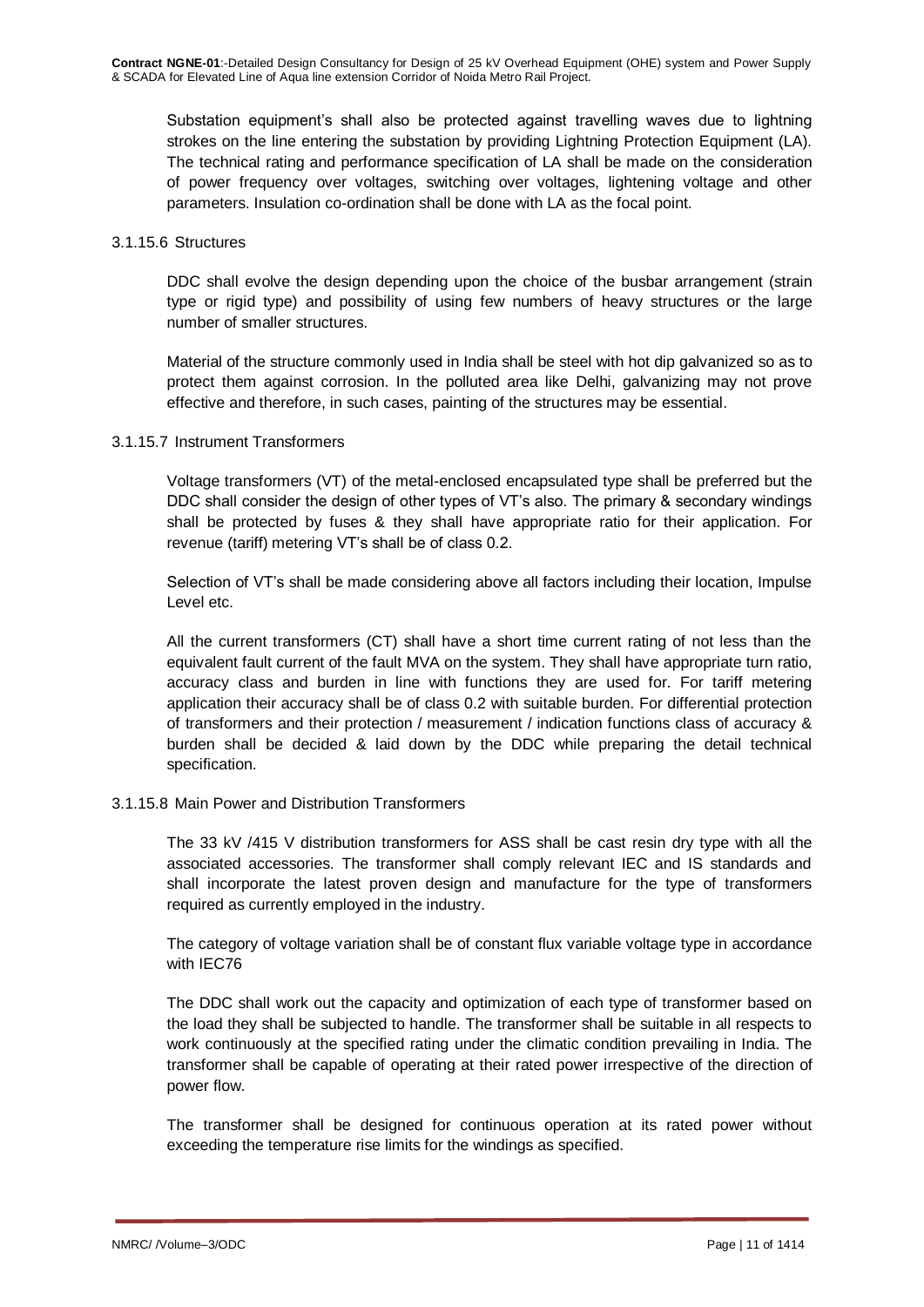Substation equipment's shall also be protected against travelling waves due to lightning strokes on the line entering the substation by providing Lightning Protection Equipment (LA). The technical rating and performance specification of LA shall be made on the consideration of power frequency over voltages, switching over voltages, lightening voltage and other parameters. Insulation co-ordination shall be done with LA as the focal point.

### 3.1.15.6 Structures

DDC shall evolve the design depending upon the choice of the busbar arrangement (strain type or rigid type) and possibility of using few numbers of heavy structures or the large number of smaller structures.

Material of the structure commonly used in India shall be steel with hot dip galvanized so as to protect them against corrosion. In the polluted area like Delhi, galvanizing may not prove effective and therefore, in such cases, painting of the structures may be essential.

# 3.1.15.7 Instrument Transformers

Voltage transformers (VT) of the metal-enclosed encapsulated type shall be preferred but the DDC shall consider the design of other types of VT's also. The primary & secondary windings shall be protected by fuses & they shall have appropriate ratio for their application. For revenue (tariff) metering VT's shall be of class 0.2.

Selection of VT's shall be made considering above all factors including their location, Impulse Level etc.

All the current transformers (CT) shall have a short time current rating of not less than the equivalent fault current of the fault MVA on the system. They shall have appropriate turn ratio, accuracy class and burden in line with functions they are used for. For tariff metering application their accuracy shall be of class 0.2 with suitable burden. For differential protection of transformers and their protection / measurement / indication functions class of accuracy & burden shall be decided & laid down by the DDC while preparing the detail technical specification.

# 3.1.15.8 Main Power and Distribution Transformers

The 33 kV /415 V distribution transformers for ASS shall be cast resin dry type with all the associated accessories. The transformer shall comply relevant IEC and IS standards and shall incorporate the latest proven design and manufacture for the type of transformers required as currently employed in the industry.

The category of voltage variation shall be of constant flux variable voltage type in accordance with IEC76

The DDC shall work out the capacity and optimization of each type of transformer based on the load they shall be subjected to handle. The transformer shall be suitable in all respects to work continuously at the specified rating under the climatic condition prevailing in India. The transformer shall be capable of operating at their rated power irrespective of the direction of power flow.

The transformer shall be designed for continuous operation at its rated power without exceeding the temperature rise limits for the windings as specified.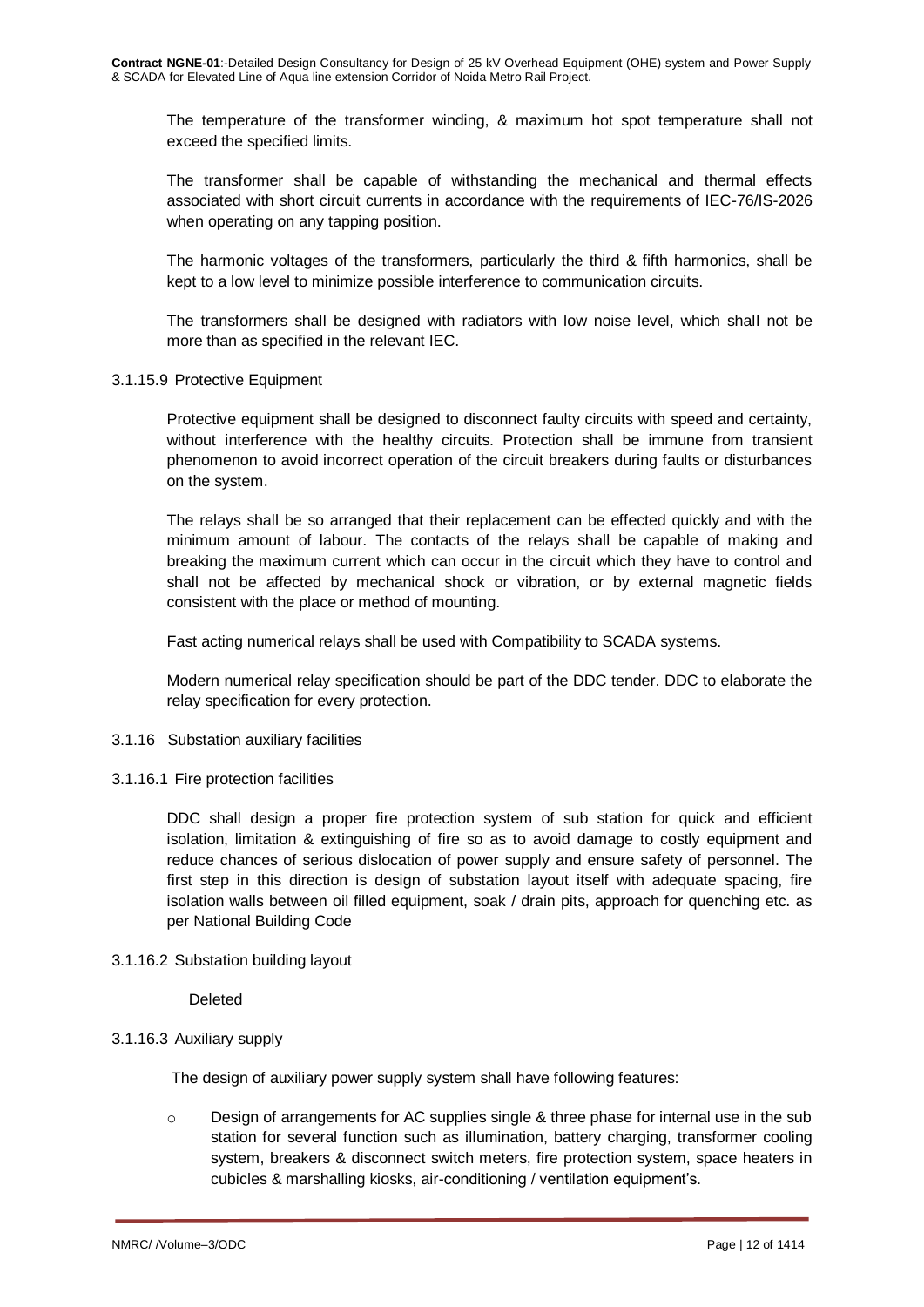The temperature of the transformer winding, & maximum hot spot temperature shall not exceed the specified limits.

The transformer shall be capable of withstanding the mechanical and thermal effects associated with short circuit currents in accordance with the requirements of IEC-76/IS-2026 when operating on any tapping position.

The harmonic voltages of the transformers, particularly the third & fifth harmonics, shall be kept to a low level to minimize possible interference to communication circuits.

The transformers shall be designed with radiators with low noise level, which shall not be more than as specified in the relevant IEC.

### 3.1.15.9 Protective Equipment

Protective equipment shall be designed to disconnect faulty circuits with speed and certainty, without interference with the healthy circuits. Protection shall be immune from transient phenomenon to avoid incorrect operation of the circuit breakers during faults or disturbances on the system.

The relays shall be so arranged that their replacement can be effected quickly and with the minimum amount of labour. The contacts of the relays shall be capable of making and breaking the maximum current which can occur in the circuit which they have to control and shall not be affected by mechanical shock or vibration, or by external magnetic fields consistent with the place or method of mounting.

Fast acting numerical relays shall be used with Compatibility to SCADA systems.

Modern numerical relay specification should be part of the DDC tender. DDC to elaborate the relay specification for every protection.

#### 3.1.16 Substation auxiliary facilities

# 3.1.16.1 Fire protection facilities

DDC shall design a proper fire protection system of sub station for quick and efficient isolation, limitation & extinguishing of fire so as to avoid damage to costly equipment and reduce chances of serious dislocation of power supply and ensure safety of personnel. The first step in this direction is design of substation layout itself with adequate spacing, fire isolation walls between oil filled equipment, soak / drain pits, approach for quenching etc. as per National Building Code

# 3.1.16.2 Substation building layout

Deleted

#### 3.1.16.3 Auxiliary supply

The design of auxiliary power supply system shall have following features:

 $\circ$  Design of arrangements for AC supplies single & three phase for internal use in the sub station for several function such as illumination, battery charging, transformer cooling system, breakers & disconnect switch meters, fire protection system, space heaters in cubicles & marshalling kiosks, air-conditioning / ventilation equipment's.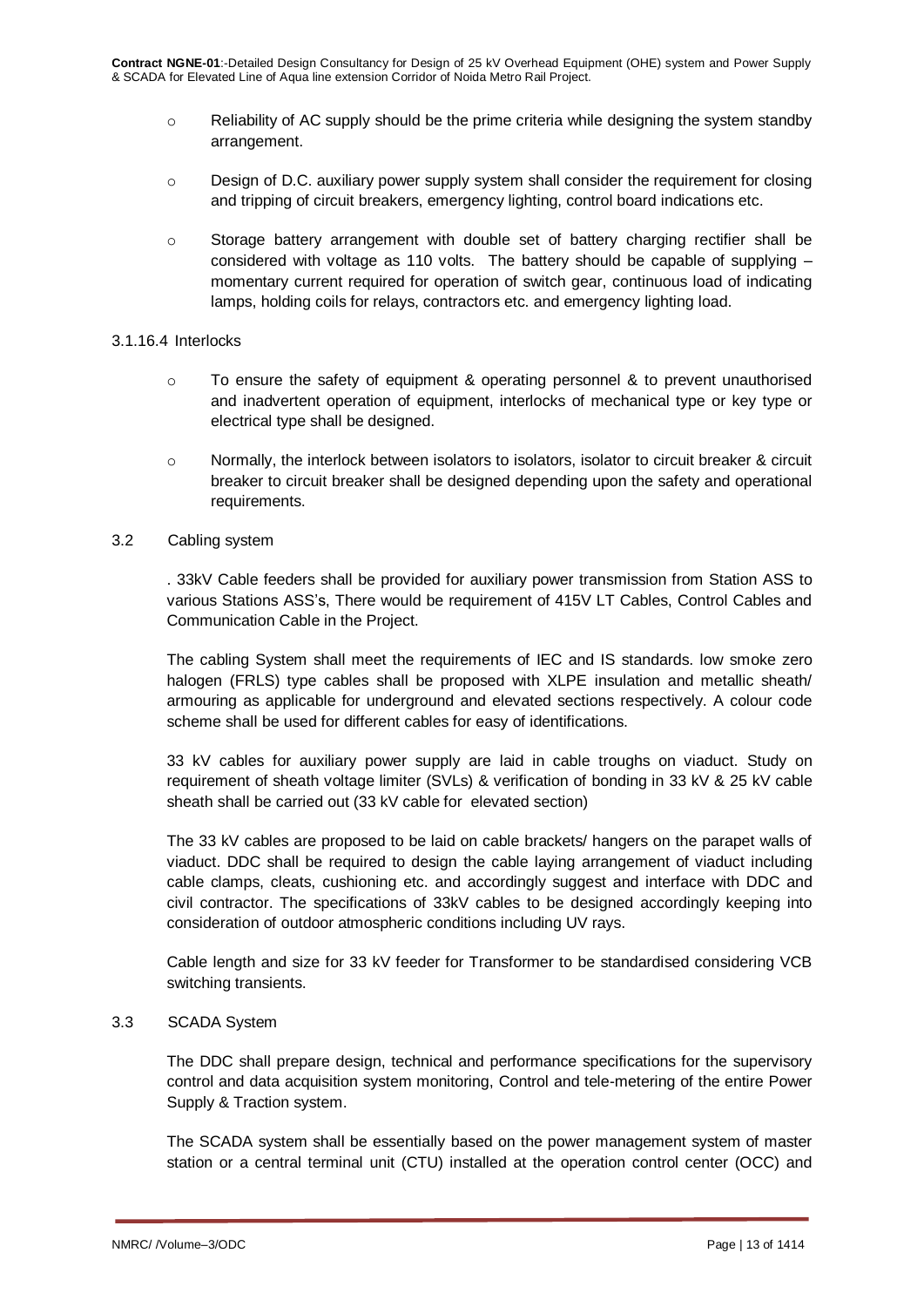- $\circ$  Reliability of AC supply should be the prime criteria while designing the system standby arrangement.
- o Design of D.C. auxiliary power supply system shall consider the requirement for closing and tripping of circuit breakers, emergency lighting, control board indications etc.
- o Storage battery arrangement with double set of battery charging rectifier shall be considered with voltage as 110 volts. The battery should be capable of supplying – momentary current required for operation of switch gear, continuous load of indicating lamps, holding coils for relays, contractors etc. and emergency lighting load.

### 3.1.16.4 Interlocks

- $\circ$  To ensure the safety of equipment & operating personnel & to prevent unauthorised and inadvertent operation of equipment, interlocks of mechanical type or key type or electrical type shall be designed.
- $\circ$  Normally, the interlock between isolators to isolators, isolator to circuit breaker & circuit breaker to circuit breaker shall be designed depending upon the safety and operational requirements.

# 3.2 Cabling system

. 33kV Cable feeders shall be provided for auxiliary power transmission from Station ASS to various Stations ASS's, There would be requirement of 415V LT Cables, Control Cables and Communication Cable in the Project.

The cabling System shall meet the requirements of IEC and IS standards. low smoke zero halogen (FRLS) type cables shall be proposed with XLPE insulation and metallic sheath/ armouring as applicable for underground and elevated sections respectively. A colour code scheme shall be used for different cables for easy of identifications.

33 kV cables for auxiliary power supply are laid in cable troughs on viaduct. Study on requirement of sheath voltage limiter (SVLs) & verification of bonding in 33 kV & 25 kV cable sheath shall be carried out (33 kV cable for elevated section)

The 33 kV cables are proposed to be laid on cable brackets/ hangers on the parapet walls of viaduct. DDC shall be required to design the cable laying arrangement of viaduct including cable clamps, cleats, cushioning etc. and accordingly suggest and interface with DDC and civil contractor. The specifications of 33kV cables to be designed accordingly keeping into consideration of outdoor atmospheric conditions including UV rays.

Cable length and size for 33 kV feeder for Transformer to be standardised considering VCB switching transients.

# 3.3 SCADA System

The DDC shall prepare design, technical and performance specifications for the supervisory control and data acquisition system monitoring, Control and tele-metering of the entire Power Supply & Traction system.

The SCADA system shall be essentially based on the power management system of master station or a central terminal unit (CTU) installed at the operation control center (OCC) and